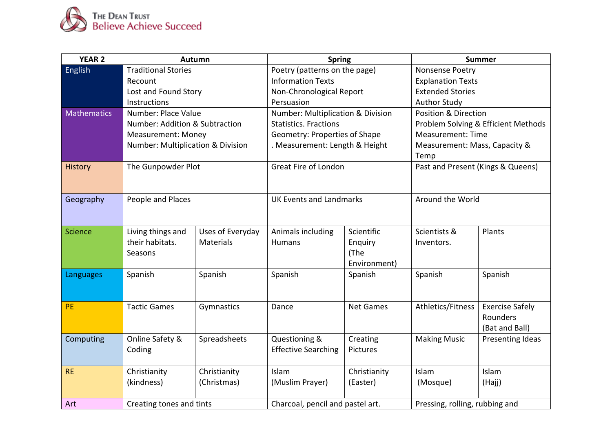

| <b>YEAR 2</b>      | Autumn                            |                  | <b>Spring</b>                     |                  | <b>Summer</b>                       |                        |
|--------------------|-----------------------------------|------------------|-----------------------------------|------------------|-------------------------------------|------------------------|
| English            | <b>Traditional Stories</b>        |                  | Poetry (patterns on the page)     |                  | Nonsense Poetry                     |                        |
|                    | Recount                           |                  | <b>Information Texts</b>          |                  | <b>Explanation Texts</b>            |                        |
|                    | Lost and Found Story              |                  | Non-Chronological Report          |                  | <b>Extended Stories</b>             |                        |
|                    | Instructions                      |                  | Persuasion                        |                  | <b>Author Study</b>                 |                        |
| <b>Mathematics</b> | Number: Place Value               |                  | Number: Multiplication & Division |                  | <b>Position &amp; Direction</b>     |                        |
|                    | Number: Addition & Subtraction    |                  | <b>Statistics. Fractions</b>      |                  | Problem Solving & Efficient Methods |                        |
|                    | <b>Measurement: Money</b>         |                  | Geometry: Properties of Shape     |                  | <b>Measurement: Time</b>            |                        |
|                    | Number: Multiplication & Division |                  | . Measurement: Length & Height    |                  | Measurement: Mass, Capacity &       |                        |
|                    |                                   |                  |                                   |                  | Temp                                |                        |
| <b>History</b>     | The Gunpowder Plot                |                  | Great Fire of London              |                  | Past and Present (Kings & Queens)   |                        |
|                    |                                   |                  |                                   |                  |                                     |                        |
| Geography          | People and Places                 |                  | <b>UK Events and Landmarks</b>    |                  | Around the World                    |                        |
|                    |                                   |                  |                                   |                  |                                     |                        |
|                    |                                   |                  |                                   |                  |                                     |                        |
| <b>Science</b>     | Living things and                 | Uses of Everyday | Animals including                 | Scientific       | Scientists &                        | Plants                 |
|                    | their habitats.                   | Materials        | Humans                            | Enquiry          | Inventors.                          |                        |
|                    | Seasons                           |                  |                                   | (The             |                                     |                        |
|                    |                                   |                  |                                   | Environment)     |                                     |                        |
| Languages          | Spanish                           | Spanish          | Spanish                           | Spanish          | Spanish                             | Spanish                |
|                    |                                   |                  |                                   |                  |                                     |                        |
|                    |                                   |                  |                                   |                  |                                     |                        |
| <b>PE</b>          | <b>Tactic Games</b>               | Gymnastics       | Dance                             | <b>Net Games</b> | Athletics/Fitness                   | <b>Exercise Safely</b> |
|                    |                                   |                  |                                   |                  |                                     | Rounders               |
|                    |                                   |                  |                                   |                  |                                     | (Bat and Ball)         |
| Computing          | Online Safety &                   | Spreadsheets     | Questioning &                     | Creating         | <b>Making Music</b>                 | Presenting Ideas       |
|                    | Coding                            |                  | <b>Effective Searching</b>        | Pictures         |                                     |                        |
|                    |                                   |                  |                                   |                  |                                     |                        |
| <b>RE</b>          | Christianity                      | Christianity     | Islam                             | Christianity     | Islam                               | Islam                  |
|                    | (kindness)                        | (Christmas)      | (Muslim Prayer)                   | (Easter)         | (Mosque)                            | (Hajj)                 |
|                    |                                   |                  |                                   |                  |                                     |                        |
| Art                | Creating tones and tints          |                  | Charcoal, pencil and pastel art.  |                  | Pressing, rolling, rubbing and      |                        |